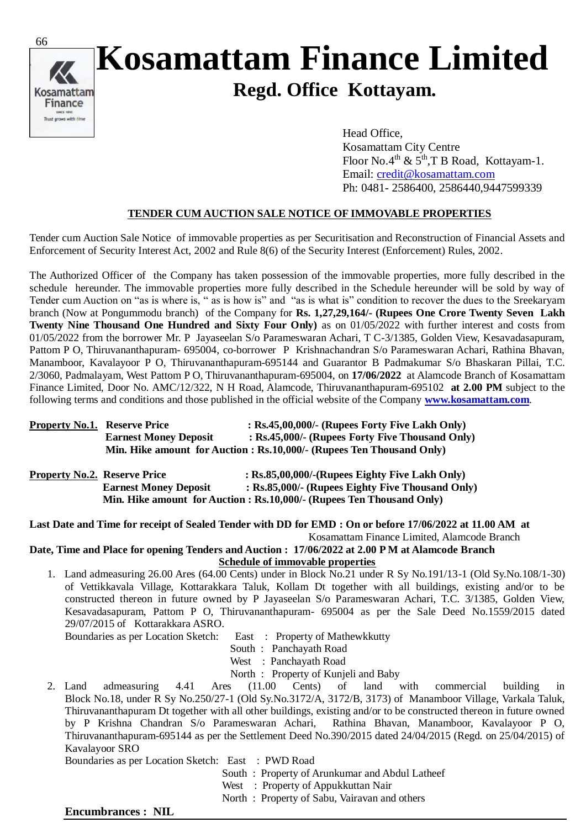

## **Kosamattam Finance Limited Regd. Office Kottayam.**

 Head Office, Kosamattam City Centre Floor No.4<sup>th</sup> &  $5<sup>th</sup>$ ,T B Road, Kottayam-1. Email: [credit@kosamattam.com](mailto:credit@kosamattam.com) Ph: 0481- 2586400, 2586440,9447599339

## **TENDER CUM AUCTION SALE NOTICE OF IMMOVABLE PROPERTIES**

Tender cum Auction Sale Notice of immovable properties as per Securitisation and Reconstruction of Financial Assets and Enforcement of Security Interest Act, 2002 and Rule 8(6) of the Security Interest (Enforcement) Rules, 2002.

The Authorized Officer of the Company has taken possession of the immovable properties, more fully described in the schedule hereunder. The immovable properties more fully described in the Schedule hereunder will be sold by way of Tender cum Auction on "as is where is, " as is how is" and "as is what is" condition to recover the dues to the Sreekaryam branch (Now at Pongummodu branch) of the Company for **Rs. 1,27,29,164/- (Rupees One Crore Twenty Seven Lakh Twenty Nine Thousand One Hundred and Sixty Four Only**) as on 01/05/2022 with further interest and costs from 01/05/2022 from the borrower Mr. P Jayaseelan S/o Parameswaran Achari, T C-3/1385, Golden View, Kesavadasapuram, Pattom P O, Thiruvananthapuram- 695004, co-borrower P Krishnachandran S/o Parameswaran Achari, Rathina Bhavan, Manamboor, Kavalayoor P O, Thiruvananthapuram-695144 and Guarantor B Padmakumar S/o Bhaskaran Pillai, T.C. 2/3060, Padmalayam, West Pattom P O, Thiruvananthapuram-695004, on **17/06/2022** at Alamcode Branch of Kosamattam Finance Limited, Door No. AMC/12/322, N H Road, Alamcode, Thiruvananthapuram-695102 **at 2.00 PM** subject to the following terms and conditions and those published in the official website of the Company **[www.kosamattam.com](http://www.kosamattam.com/)**.

| <b>Property No.1. Reserve Price</b> |                              | : $Rs.45,00,000/$ - (Rupees Forty Five Lakh Only)                     |
|-------------------------------------|------------------------------|-----------------------------------------------------------------------|
|                                     | <b>Earnest Money Deposit</b> | : Rs.45,000/- (Rupees Forty Five Thousand Only)                       |
|                                     |                              | Min. Hike amount for Auction : Rs.10,000/- (Rupees Ten Thousand Only) |

| <b>Property No.2. Reserve Price</b> |                              | $:$ Rs.85,00,000/-(Rupees Eighty Five Lakh Only)                      |
|-------------------------------------|------------------------------|-----------------------------------------------------------------------|
|                                     | <b>Earnest Money Deposit</b> | : Rs.85,000/- (Rupees Eighty Five Thousand Only)                      |
|                                     |                              | Min. Hike amount for Auction : Rs.10,000/- (Rupees Ten Thousand Only) |

**Last Date and Time for receipt of Sealed Tender with DD for EMD : On or before 17/06/2022 at 11.00 AM at** Kosamattam Finance Limited, Alamcode Branch

**Date, Time and Place for opening Tenders and Auction : 17/06/2022 at 2.00 P M at Alamcode Branch Schedule of immovable properties**

1. Land admeasuring 26.00 Ares (64.00 Cents) under in Block No.21 under R Sy No.191/13-1 (Old Sy.No.108/1-30) of Vettikkavala Village, Kottarakkara Taluk, Kollam Dt together with all buildings, existing and/or to be constructed thereon in future owned by P Jayaseelan S/o Parameswaran Achari, T.C. 3/1385, Golden View, Kesavadasapuram, Pattom P O, Thiruvananthapuram- 695004 as per the Sale Deed No.1559/2015 dated 29/07/2015 of Kottarakkara ASRO.

Boundaries as per Location Sketch: East : Property of Mathewkkutty

- South : Panchayath Road
- West : Panchayath Road
- 
- North : Property of Kunjeli and Baby<br>2. Land admeasuring 4.41 Ares (11.00 Cents) of land 2. Land admeasuring 4.41 Ares (11.00 Cents) of land with commercial building in Block No.18, under R Sy No.250/27-1 (Old Sy.No.3172/A, 3172/B, 3173) of Manamboor Village, Varkala Taluk, Thiruvananthapuram Dt together with all other buildings, existing and/or to be constructed thereon in future owned by P Krishna Chandran S/o Parameswaran Achari, Rathina Bhavan, Manamboor, Kavalayoor P O, Thiruvananthapuram-695144 as per the Settlement Deed No.390/2015 dated 24/04/2015 (Regd. on 25/04/2015) of Kavalayoor SRO

Boundaries as per Location Sketch: East : PWD Road

South : Property of Arunkumar and Abdul Latheef

West : Property of Appukkuttan Nair

North : Property of Sabu, Vairavan and others

## **Encumbrances : NIL**